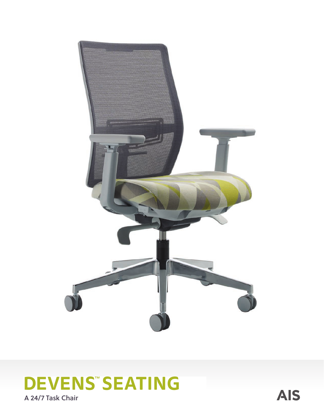

# **DEVENS" SEATING**

A 24/7 Task Chair